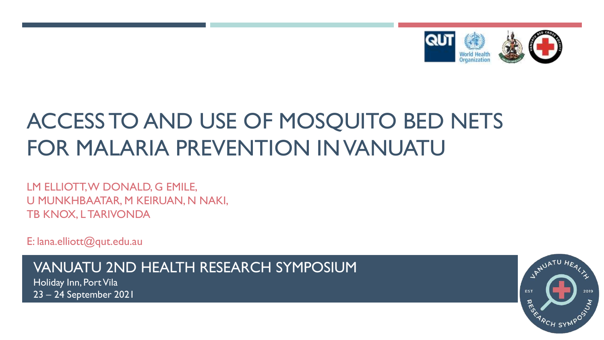

# ACCESS TO AND USE OF MOSQUITO BED NETS FOR MALARIA PREVENTION IN VANUATU

LM ELLIOTT, W DONALD, G EMILE, U MUNKHBAATAR, M KEIRUAN, N NAKI, TB KNOX, L TARIVONDA

E: lana.elliott@qut.edu.au

VANUATU 2ND HEALTH RESEARCH SYMPOSIUM

Holiday Inn, Port Vila 23 – 24 September 2021

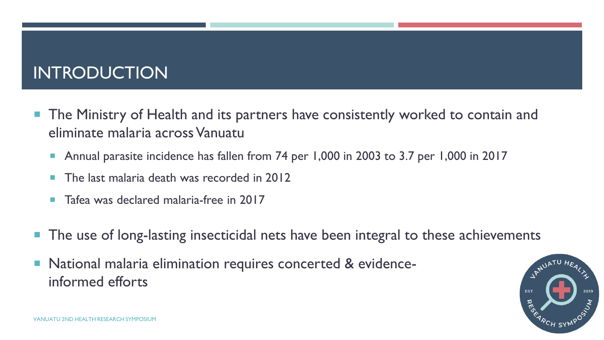## INTRODUCTION

- **The Ministry of Health and its partners have consistently worked to contain and** eliminate malaria across Vanuatu
	- Annual parasite incidence has fallen from 74 per 1,000 in 2003 to 3.7 per 1,000 in 2017
	- The last malaria death was recorded in 2012
	- Tafea was declared malaria-free in 2017
- The use of long-lasting insecticidal nets have been integral to these achievements
- **National malaria elimination requires concerted & evidence**informed efforts

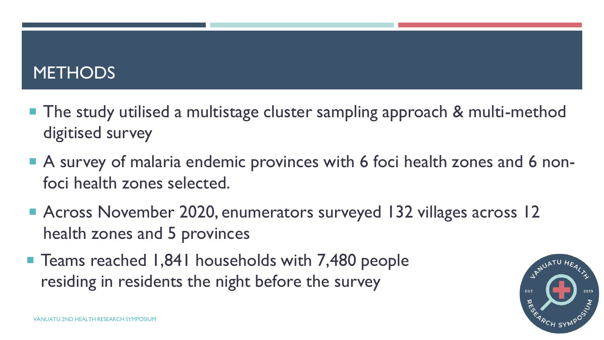#### **METHODS**

- The study utilised a multistage cluster sampling approach & multi-method digitised survey
- A survey of malaria endemic provinces with 6 foci health zones and 6 nonfoci health zones selected.
- Across November 2020, enumerators surveyed 132 villages across 12 health zones and 5 provinces
- Teams reached 1,841 households with 7,480 people residing in residents the night before the survey

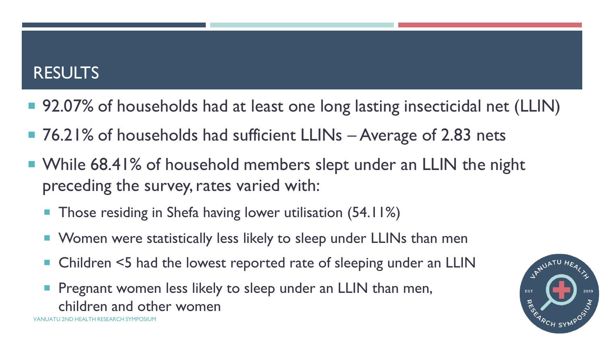#### RESULTS

- 92.07% of households had at least one long lasting insecticidal net (LLIN)
- 76.21% of households had sufficient LLINs Average of 2.83 nets
- While 68.41% of household members slept under an LLIN the night preceding the survey, rates varied with:
	- **Those residing in Shefa having lower utilisation (54.11%)**
	- Women were statistically less likely to sleep under LLINs than men
	- Children <5 had the lowest reported rate of sleeping under an LLIN
	- VANUATU 2ND HEALTH RESEARCH SYMPOSIUM Pregnant women less likely to sleep under an LLIN than men, children and other women

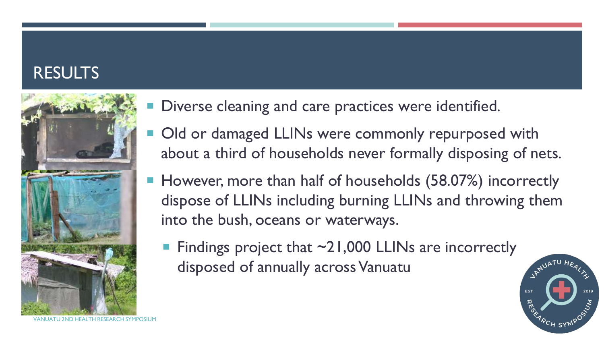### **RESULTS**



- Diverse cleaning and care practices were identified.
- Old or damaged LLINs were commonly repurposed with about a third of households never formally disposing of nets.
- However, more than half of households (58.07%) incorrectly dispose of LLINs including burning LLINs and throwing them into the bush, oceans or waterways.
	- Findings project that  $\sim$ 21,000 LLINs are incorrectly disposed of annually across Vanuatu



VANUATU 2ND HEALTH RESEARCH SYMPOSIUI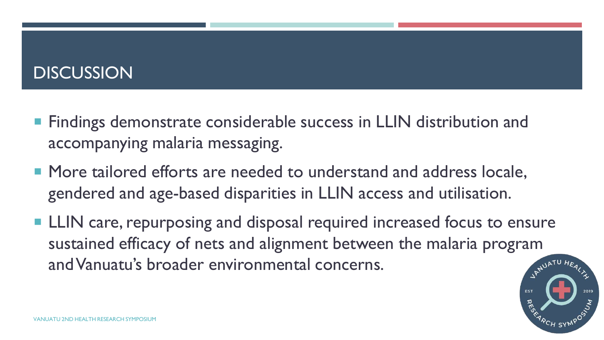### **DISCUSSION**

- **Findings demonstrate considerable success in LLIN distribution and** accompanying malaria messaging.
- More tailored efforts are needed to understand and address locale. gendered and age-based disparities in LLIN access and utilisation.
- **LLIN** care, repurposing and disposal required increased focus to ensure sustained efficacy of nets and alignment between the malaria program and Vanuatu's broader environmental concerns.

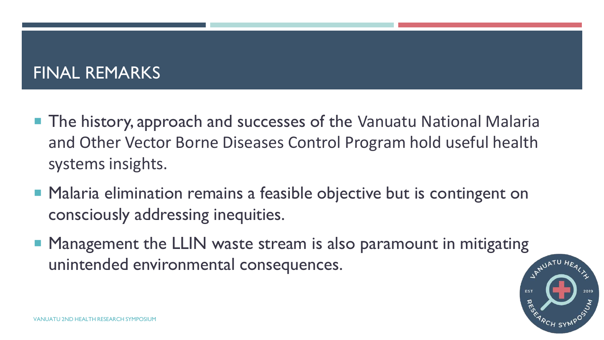#### FINAL REMARKS

- The history, approach and successes of the Vanuatu National Malaria and Other Vector Borne Diseases Control Program hold useful health systems insights.
- **Malaria elimination remains a feasible objective but is contingent on** consciously addressing inequities.
- Management the LLIN waste stream is also paramount in mitigating unintended environmental consequences.